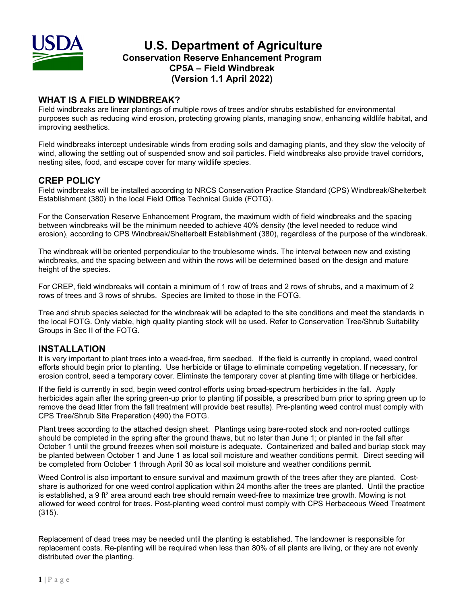

# **U.S. Department of Agriculture Conservation Reserve Enhancement Program CP5A – Field Windbreak (Version 1.1 April 2022)**

## **WHAT IS A FIELD WINDBREAK?**

Field windbreaks are linear plantings of multiple rows of trees and/or shrubs established for environmental purposes such as reducing wind erosion, protecting growing plants, managing snow, enhancing wildlife habitat, and improving aesthetics.

Field windbreaks intercept undesirable winds from eroding soils and damaging plants, and they slow the velocity of wind, allowing the settling out of suspended snow and soil particles. Field windbreaks also provide travel corridors, nesting sites, food, and escape cover for many wildlife species.

## **CREP POLICY**

Field windbreaks will be installed according to NRCS Conservation Practice Standard (CPS) Windbreak/Shelterbelt Establishment (380) in the local Field Office Technical Guide (FOTG).

For the Conservation Reserve Enhancement Program, the maximum width of field windbreaks and the spacing between windbreaks will be the minimum needed to achieve 40% density (the level needed to reduce wind erosion), according to CPS Windbreak/Shelterbelt Establishment (380), regardless of the purpose of the windbreak.

The windbreak will be oriented perpendicular to the troublesome winds. The interval between new and existing windbreaks, and the spacing between and within the rows will be determined based on the design and mature height of the species.

For CREP, field windbreaks will contain a minimum of 1 row of trees and 2 rows of shrubs, and a maximum of 2 rows of trees and 3 rows of shrubs. Species are limited to those in the FOTG.

Tree and shrub species selected for the windbreak will be adapted to the site conditions and meet the standards in the local FOTG. Only viable, high quality planting stock will be used. Refer to Conservation Tree/Shrub Suitability Groups in Sec II of the FOTG.

### **INSTALLATION**

It is very important to plant trees into a weed-free, firm seedbed. If the field is currently in cropland, weed control efforts should begin prior to planting. Use herbicide or tillage to eliminate competing vegetation. If necessary, for erosion control, seed a temporary cover. Eliminate the temporary cover at planting time with tillage or herbicides.

If the field is currently in sod, begin weed control efforts using broad-spectrum herbicides in the fall. Apply herbicides again after the spring green-up prior to planting (if possible, a prescribed burn prior to spring green up to remove the dead litter from the fall treatment will provide best results). Pre-planting weed control must comply with CPS Tree/Shrub Site Preparation (490) the FOTG.

Plant trees according to the attached design sheet. Plantings using bare-rooted stock and non-rooted cuttings should be completed in the spring after the ground thaws, but no later than June 1; or planted in the fall after October 1 until the ground freezes when soil moisture is adequate. Containerized and balled and burlap stock may be planted between October 1 and June 1 as local soil moisture and weather conditions permit. Direct seeding will be completed from October 1 through April 30 as local soil moisture and weather conditions permit.

Weed Control is also important to ensure survival and maximum growth of the trees after they are planted. Costshare is authorized for one weed control application within 24 months after the trees are planted. Until the practice is established, a 9 ft<sup>2</sup> area around each tree should remain weed-free to maximize tree growth. Mowing is not allowed for weed control for trees. Post-planting weed control must comply with CPS Herbaceous Weed Treatment (315).

Replacement of dead trees may be needed until the planting is established. The landowner is responsible for replacement costs. Re-planting will be required when less than 80% of all plants are living, or they are not evenly distributed over the planting.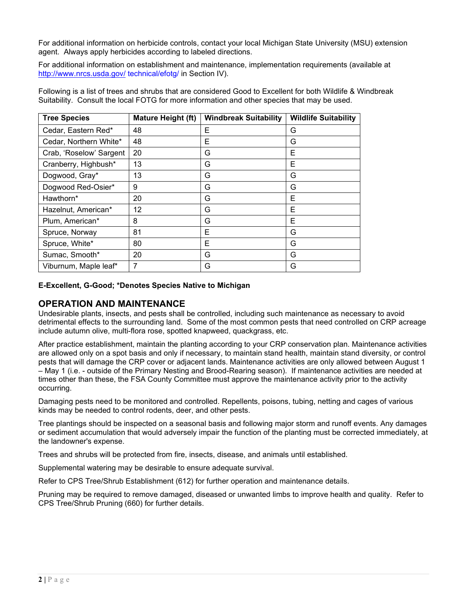For additional information on herbicide controls, contact your local Michigan State University (MSU) extension agent. Always apply herbicides according to labeled directions.

For additional information on establishment and maintenance, implementation requirements (available at <http://www.nrcs.usda.gov/> technical/efotg/ in Section IV).

Following is a list of trees and shrubs that are considered Good to Excellent for both Wildlife & Windbreak Suitability. Consult the local FOTG for more information and other species that may be used.

| <b>Tree Species</b>     | <b>Mature Height (ft)</b> | <b>Windbreak Suitability</b> | <b>Wildlife Suitability</b> |
|-------------------------|---------------------------|------------------------------|-----------------------------|
| Cedar, Eastern Red*     | 48                        | E                            | G                           |
| Cedar, Northern White*  | 48                        | E                            | G                           |
| Crab, 'Roselow' Sargent | 20                        | G                            | Е                           |
| Cranberry, Highbush*    | 13                        | G                            | Е                           |
| Dogwood, Gray*          | 13                        | G                            | G                           |
| Dogwood Red-Osier*      | 9                         | G                            | G                           |
| Hawthorn*               | 20                        | G                            | Е                           |
| Hazelnut, American*     | 12                        | G                            | Е                           |
| Plum, American*         | 8                         | G                            | E                           |
| Spruce, Norway          | 81                        | Е                            | G                           |
| Spruce, White*          | 80                        | E                            | G                           |
| Sumac, Smooth*          | 20                        | G                            | G                           |
| Viburnum, Maple leaf*   | 7                         | G                            | G                           |

#### **E-Excellent, G-Good; \*Denotes Species Native to Michigan**

#### **OPERATION AND MAINTENANCE**

Undesirable plants, insects, and pests shall be controlled, including such maintenance as necessary to avoid detrimental effects to the surrounding land. Some of the most common pests that need controlled on CRP acreage include autumn olive, multi-flora rose, spotted knapweed, quackgrass, etc.

After practice establishment, maintain the planting according to your CRP conservation plan. Maintenance activities are allowed only on a spot basis and only if necessary, to maintain stand health, maintain stand diversity, or control pests that will damage the CRP cover or adjacent lands. Maintenance activities are only allowed between August 1 – May 1 (i.e. - outside of the Primary Nesting and Brood-Rearing season). If maintenance activities are needed at times other than these, the FSA County Committee must approve the maintenance activity prior to the activity occurring.

Damaging pests need to be monitored and controlled. Repellents, poisons, tubing, netting and cages of various kinds may be needed to control rodents, deer, and other pests.

Tree plantings should be inspected on a seasonal basis and following major storm and runoff events. Any damages or sediment accumulation that would adversely impair the function of the planting must be corrected immediately, at the landowner's expense.

Trees and shrubs will be protected from fire, insects, disease, and animals until established.

Supplemental watering may be desirable to ensure adequate survival.

Refer to CPS Tree/Shrub Establishment (612) for further operation and maintenance details.

Pruning may be required to remove damaged, diseased or unwanted limbs to improve health and quality. Refer to CPS Tree/Shrub Pruning (660) for further details.